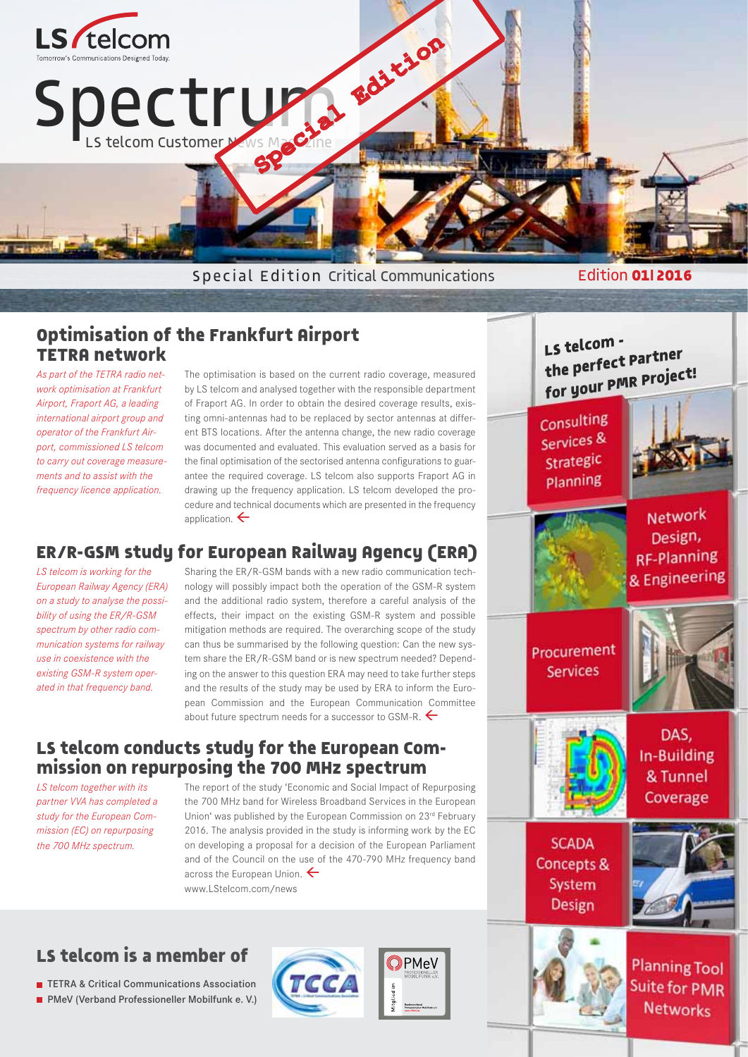

# **Optimisation of the Frankfurt Airport TETRA network**

*As part of the TETRA radio network optimisation at Frankfurt Airport, Fraport AG, a leading international airport group and operator of the Frankfurt Airport, commissioned LS telcom to carry out coverage measurements and to assist with the frequency licence application.* 

The optimisation is based on the current radio coverage, measured by LS telcom and analysed together with the responsible department of Fraport AG. In order to obtain the desired coverage results, existing omni-antennas had to be replaced by sector antennas at different BTS locations. After the antenna change, the new radio coverage was documented and evaluated. This evaluation served as a basis for the final optimisation of the sectorised antenna configurations to guarantee the required coverage. LS telcom also supports Fraport AG in drawing up the frequency application. LS telcom developed the procedure and technical documents which are presented in the frequency application.  $\leftarrow$ 

# **ER/R-GSM study for European Railway Agency (ERA)**

*LS telcom is working for the European Railway Agency (ERA) on a study to analyse the possibility of using the ER/R-GSM spectrum by other radio communication systems for railway use in coexistence with the existing GSM-R system operated in that frequency band.*

Sharing the ER/R-GSM bands with a new radio communication technology will possibly impact both the operation of the GSM-R system and the additional radio system, therefore a careful analysis of the effects, their impact on the existing GSM-R system and possible mitigation methods are required. The overarching scope of the study can thus be summarised by the following question: Can the new system share the ER/R-GSM band or is new spectrum needed? Depending on the answer to this question ERA may need to take further steps and the results of the study may be used by ERA to inform the European Commission and the European Communication Committee about future spectrum needs for a successor to GSM-R.

### **LS telcom conducts study for the European Commission on repurposing the 700 MHz spectrum**

*LS telcom together with its partner VVA has completed a study for the European Commission (EC) on repurposing the 700 MHz spectrum.* 

The report of the study 'Economic and Social Impact of Repurposing the 700 MHz band for Wireless Broadband Services in the European Union' was published by the European Commission on 23rd February 2016. The analysis provided in the study is informing work by the EC on developing a proposal for a decision of the European Parliament and of the Council on the use of the 470-790 MHz frequency band across the European Union.  $\leftarrow$ www.LStelcom.com/news

# **LS telcom is a member of**

**TETRA & Critical Communications Association** 

**PMeV (Verband Professioneller Mobilfunk e. V.)** 







Suite for PMR **Networks**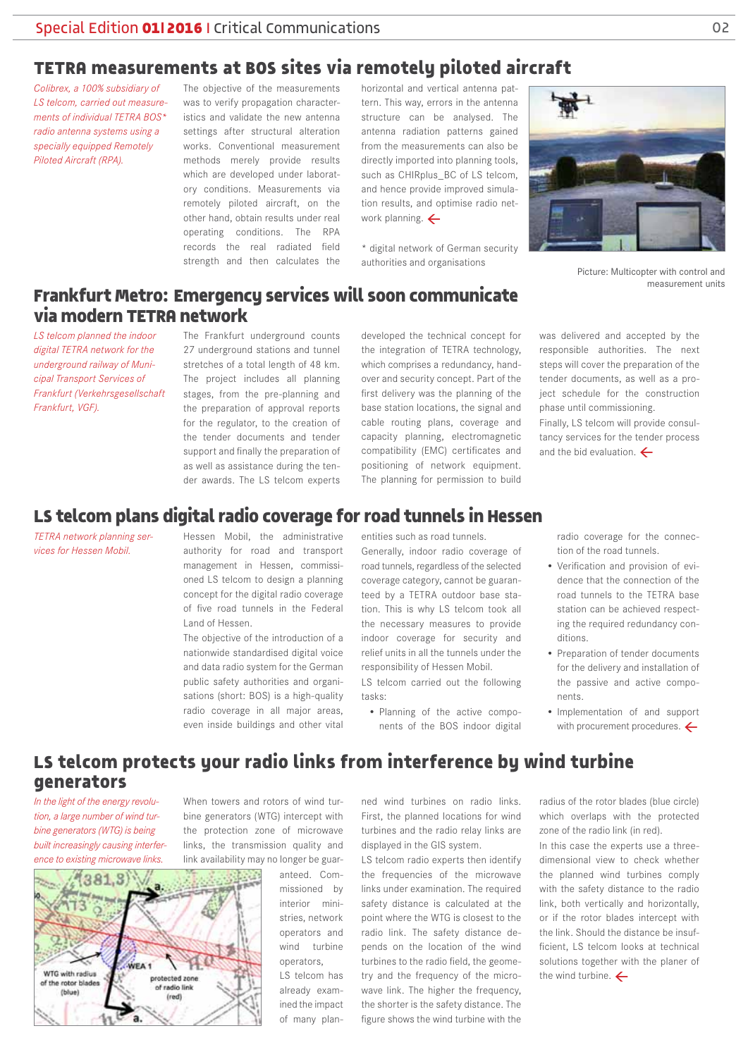# **TETRA measurements at BOS sites via remotely piloted aircraft**

*Colibrex, a 100% subsidiary of LS telcom, carried out measurements of individual TETRA BOS\* radio antenna systems using a specially equipped Remotely Piloted Aircraft (RPA).* 

The objective of the measurements was to verify propagation characteristics and validate the new antenna settings after structural alteration works. Conventional measurement methods merely provide results which are developed under laboratory conditions. Measurements via remotely piloted aircraft, on the other hand, obtain results under real operating conditions. The RPA records the real radiated field strength and then calculates the horizontal and vertical antenna pattern. This way, errors in the antenna structure can be analysed. The antenna radiation patterns gained from the measurements can also be directly imported into planning tools, such as CHIRplus\_BC of LS telcom, and hence provide improved simulation results, and optimise radio network planning.  $\leftarrow$ 

\* digital network of German security authorities and organisations



Picture: Multicopter with control and measurement units

### **Frankfurt Metro: Emergency services will soon communicate via modern TETRA network**

*LS telcom planned the indoor digital TETRA network for the underground railway of Municipal Transport Services of Frankfurt (Verkehrsgesellschaft Frankfurt, VGF).* 

The Frankfurt underground counts 27 underground stations and tunnel stretches of a total length of 48 km. The project includes all planning stages, from the pre-planning and as well as assistance during the tender awards. The LS telcom experts

developed the technical concept for the integration of TETRA technology, which comprises a redundancy, handover and security concept. Part of the first delivery was the planning of the base station locations, the signal and cable routing plans, coverage and

was delivered and accepted by the responsible authorities. The next steps will cover the preparation of the tender documents, as well as a project schedule for the construction phase until commissioning.

Finally, LS telcom will provide consultancy services for the tender process and the bid evaluation.  $\leftarrow$ 

#### the preparation of approval reports for the regulator, to the creation of the tender documents and tender support and finally the preparation of

capacity planning, electromagnetic compatibility (EMC) certificates and positioning of network equipment. The planning for permission to build

### **LS telcom plans digital radio coverage for road tunnels in Hessen**

*TETRA network planning services for Hessen Mobil.* 

Hessen Mobil, the administrative authority for road and transport management in Hessen, commissioned LS telcom to design a planning concept for the digital radio coverage of five road tunnels in the Federal Land of Hessen.

The objective of the introduction of a nationwide standardised digital voice and data radio system for the German public safety authorities and organisations (short: BOS) is a high-quality radio coverage in all major areas, even inside buildings and other vital

entities such as road tunnels.

Generally, indoor radio coverage of road tunnels, regardless of the selected coverage category, cannot be guaranteed by a TETRA outdoor base station. This is why LS telcom took all the necessary measures to provide indoor coverage for security and relief units in all the tunnels under the responsibility of Hessen Mobil.

LS telcom carried out the following tasks:

• Planning of the active components of the BOS indoor digital radio coverage for the connection of the road tunnels.

- Verification and provision of evidence that the connection of the road tunnels to the TETRA base station can be achieved respecting the required redundancy conditions.
- Preparation of tender documents for the delivery and installation of the passive and active components.
- Implementation of and support with procurement procedures.  $\leftarrow$

# **LS telcom protects your radio links from interference by wind turbine generators**

*In the light of the energy revolution, a large number of wind turbine generators (WTG) is being built increasingly causing interference to existing microwave links.* 

When towers and rotors of wind turbine generators (WTG) intercept with the protection zone of microwave links, the transmission quality and link availability may no longer be guar-

81.3 VEA<sub>1</sub> WTG with radius otected zone of the rotor blades of radio link (blue) (red)

anteed. Commissioned by interior ministries, network operators and wind turbine operators,

LS telcom has already examined the impact of many plan-

ned wind turbines on radio links. First, the planned locations for wind turbines and the radio relay links are displayed in the GIS system.

LS telcom radio experts then identify the frequencies of the microwave links under examination. The required safety distance is calculated at the point where the WTG is closest to the radio link. The safety distance depends on the location of the wind turbines to the radio field, the geometry and the frequency of the microwave link. The higher the frequency, the shorter is the safety distance. The figure shows the wind turbine with the

radius of the rotor blades (blue circle) which overlaps with the protected zone of the radio link (in red).

In this case the experts use a threedimensional view to check whether the planned wind turbines comply with the safety distance to the radio link, both vertically and horizontally, or if the rotor blades intercept with the link. Should the distance be insufficient, LS telcom looks at technical solutions together with the planer of the wind turbine.  $\leftarrow$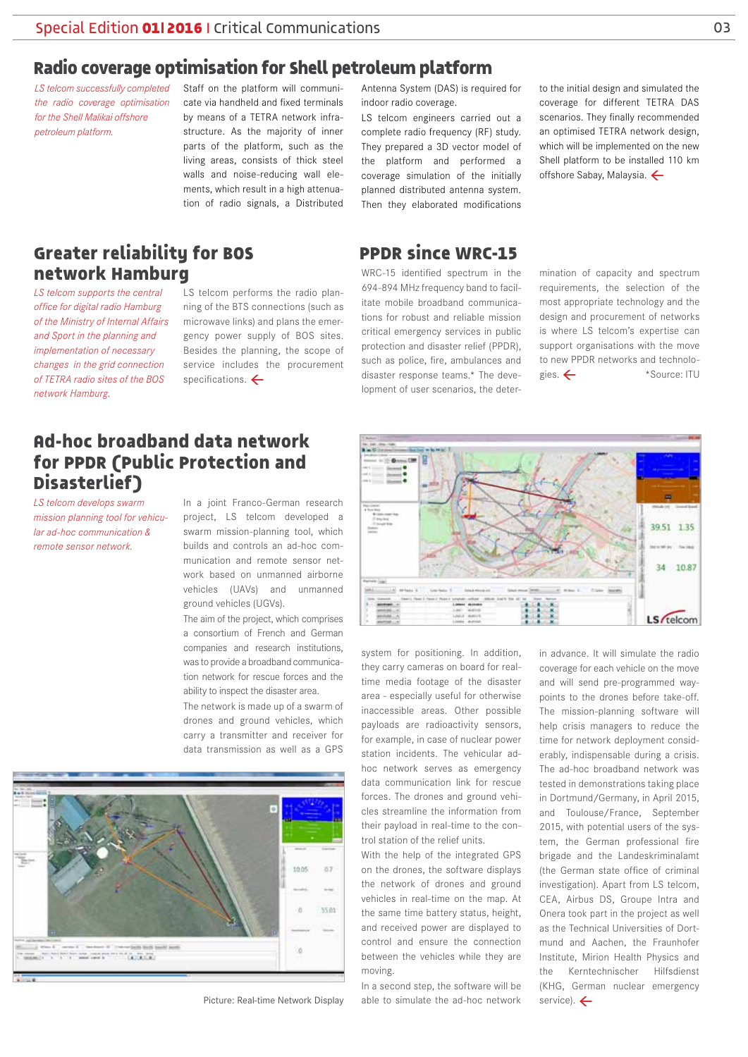# **Radio coverage optimisation for Shell petroleum platform**

*LS telcom successfully completed the radio coverage optimisation for the Shell Malikai offshore petroleum platform.*

Staff on the platform will communicate via handheld and fixed terminals by means of a TETRA network infrastructure. As the majority of inner parts of the platform, such as the living areas, consists of thick steel walls and noise-reducing wall elements, which result in a high attenuation of radio signals, a Distributed

Antenna System (DAS) is required for indoor radio coverage.

LS telcom engineers carried out a complete radio frequency (RF) study. They prepared a 3D vector model of the platform and performed a coverage simulation of the initially planned distributed antenna system. Then they elaborated modifications

#### **PPDR since WRC-15**

WRC-15 identified spectrum in the 694-894 MHz frequency band to facilitate mobile broadband communications for robust and reliable mission critical emergency services in public protection and disaster relief (PPDR), such as police, fire, ambulances and disaster response teams.\* The development of user scenarios, the deterto the initial design and simulated the coverage for different TETRA DAS scenarios. They finally recommended an optimised TETRA network design, which will be implemented on the new Shell platform to be installed 110 km offshore Sabay, Malaysia.  $\leftarrow$ 

mination of capacity and spectrum requirements, the selection of the most appropriate technology and the design and procurement of networks is where LS telcom's expertise can support organisations with the move to new PPDR networks and technologies. < \* \* Source: ITU

#### **Greater reliability for BOS network Hamburg** *LS telcom supports the central*

*office for digital radio Hamburg of the Ministry of Internal Affairs and Sport in the planning and implementation of necessary changes in the grid connection of TETRA radio sites of the BOS network Hamburg.*

LS telcom performs the radio planning of the BTS connections (such as microwave links) and plans the emergency power supply of BOS sites. Besides the planning, the scope of service includes the procurement specifications.  $\leftarrow$ 

# **Ad-hoc broadband data network for PPDR (Public Protection and Disasterlief)**

*LS telcom develops swarm mission planning tool for vehicular ad-hoc communication & remote sensor network.*

In a joint Franco-German research project, LS telcom developed a swarm mission-planning tool, which builds and controls an ad-hoc communication and remote sensor network based on unmanned airborne vehicles (UAVs) and unmanned ground vehicles (UGVs).

The aim of the project, which comprises a consortium of French and German companies and research institutions, was to provide a broadband communication network for rescue forces and the ability to inspect the disaster area.

The network is made up of a swarm of drones and ground vehicles, which carry a transmitter and receiver for data transmission as well as a GPS





system for positioning. In addition, they carry cameras on board for realtime media footage of the disaster area - especially useful for otherwise inaccessible areas. Other possible payloads are radioactivity sensors, for example, in case of nuclear power station incidents. The vehicular adhoc network serves as emergency data communication link for rescue forces. The drones and ground vehicles streamline the information from their payload in real-time to the control station of the relief units.

With the help of the integrated GPS on the drones, the software displays the network of drones and ground vehicles in real-time on the map. At the same time battery status, height, and received power are displayed to control and ensure the connection between the vehicles while they are moving.

In a second step, the software will be Picture: Real-time Network Display able to simulate the ad-hoc network service).  $\leftarrow$ 

in advance. It will simulate the radio coverage for each vehicle on the move and will send pre-programmed waypoints to the drones before take-off. The mission-planning software will help crisis managers to reduce the time for network deployment considerably, indispensable during a crisis. The ad-hoc broadband network was tested in demonstrations taking place in Dortmund/Germany, in April 2015, and Toulouse/France, September 2015, with potential users of the system, the German professional fire brigade and the Landeskriminalamt (the German state office of criminal investigation). Apart from LS telcom, CEA, Airbus DS, Groupe Intra and Onera took part in the project as well as the Technical Universities of Dortmund and Aachen, the Fraunhofer Institute, Mirion Health Physics and the Kerntechnischer Hilfsdienst (KHG, German nuclear emergency